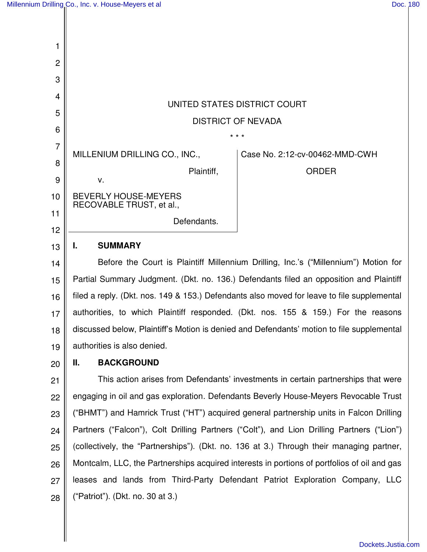| 1               |                                                                                                                                                                                                                                                                                                   |            |                                |
|-----------------|---------------------------------------------------------------------------------------------------------------------------------------------------------------------------------------------------------------------------------------------------------------------------------------------------|------------|--------------------------------|
| $\overline{2}$  |                                                                                                                                                                                                                                                                                                   |            |                                |
| 3               |                                                                                                                                                                                                                                                                                                   |            |                                |
|                 | UNITED STATES DISTRICT COURT                                                                                                                                                                                                                                                                      |            |                                |
|                 |                                                                                                                                                                                                                                                                                                   |            |                                |
| 6               | <b>DISTRICT OF NEVADA</b>                                                                                                                                                                                                                                                                         |            |                                |
|                 | * * *                                                                                                                                                                                                                                                                                             |            |                                |
| $\overline{7}$  | MILLENIUM DRILLING CO., INC.,                                                                                                                                                                                                                                                                     |            | Case No. 2:12-cv-00462-MMD-CWH |
| 8               |                                                                                                                                                                                                                                                                                                   | Plaintiff, | <b>ORDER</b>                   |
|                 | $V_{\cdot}$                                                                                                                                                                                                                                                                                       |            |                                |
|                 | <b>BEVERLY HOUSE-MEYERS</b><br>RECOVABLE TRUST, et al.,                                                                                                                                                                                                                                           |            |                                |
| 11<br>12        | Defendants.                                                                                                                                                                                                                                                                                       |            |                                |
| 13              | <b>SUMMARY</b><br>ı.                                                                                                                                                                                                                                                                              |            |                                |
| $\cdot$ $\cdot$ | $\mathsf{D}$ of a set $\mathsf{D}$ and $\mathsf{D}$ and $\mathsf{D}$ and $\mathsf{D}$ and $\mathsf{D}$ and $\mathsf{D}$ and $\mathsf{D}$ and $\mathsf{D}$ and $\mathsf{D}$ and $\mathsf{D}$ and $\mathsf{D}$ and $\mathsf{D}$ and $\mathsf{D}$ and $\mathsf{D}$ and $\mathsf{D}$ and $\mathsf{D}$ |            |                                |

14 15 16 17 18 19 Before the Court is Plaintiff Millennium Drilling, Inc.'s ("Millennium") Motion for Partial Summary Judgment. (Dkt. no. 136.) Defendants filed an opposition and Plaintiff filed a reply. (Dkt. nos. 149 & 153.) Defendants also moved for leave to file supplemental authorities, to which Plaintiff responded. (Dkt. nos. 155 & 159.) For the reasons discussed below, Plaintiff's Motion is denied and Defendants' motion to file supplemental authorities is also denied.

20

## **II. BACKGROUND**

21 22 23 24 25 26 27 28 This action arises from Defendants' investments in certain partnerships that were engaging in oil and gas exploration. Defendants Beverly House-Meyers Revocable Trust ("BHMT") and Hamrick Trust ("HT") acquired general partnership units in Falcon Drilling Partners ("Falcon"), Colt Drilling Partners ("Colt"), and Lion Drilling Partners ("Lion") (collectively, the "Partnerships"). (Dkt. no. 136 at 3.) Through their managing partner, Montcalm, LLC, the Partnerships acquired interests in portions of portfolios of oil and gas leases and lands from Third-Party Defendant Patriot Exploration Company, LLC ("Patriot"). (Dkt. no. 30 at 3.)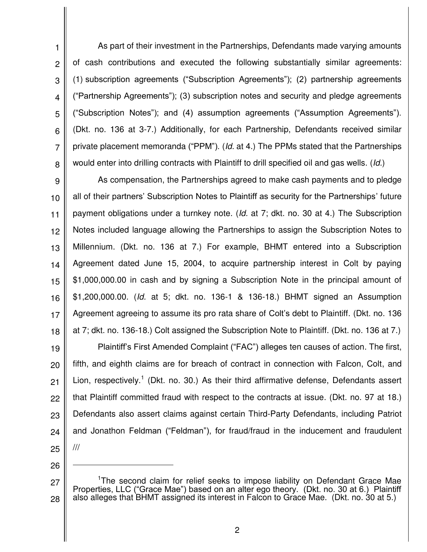1 2 3 4 5 6 7 8 As part of their investment in the Partnerships, Defendants made varying amounts of cash contributions and executed the following substantially similar agreements: (1) subscription agreements ("Subscription Agreements"); (2) partnership agreements ("Partnership Agreements"); (3) subscription notes and security and pledge agreements ("Subscription Notes"); and (4) assumption agreements ("Assumption Agreements"). (Dkt. no. 136 at 3-7.) Additionally, for each Partnership, Defendants received similar private placement memoranda ("PPM"). (*Id.* at 4.) The PPMs stated that the Partnerships would enter into drilling contracts with Plaintiff to drill specified oil and gas wells. (*Id.*)

9 10 11 12 13 14 15 16 17 18 As compensation, the Partnerships agreed to make cash payments and to pledge all of their partners' Subscription Notes to Plaintiff as security for the Partnerships' future payment obligations under a turnkey note. (*Id.* at 7; dkt. no. 30 at 4.) The Subscription Notes included language allowing the Partnerships to assign the Subscription Notes to Millennium. (Dkt. no. 136 at 7.) For example, BHMT entered into a Subscription Agreement dated June 15, 2004, to acquire partnership interest in Colt by paying \$1,000,000.00 in cash and by signing a Subscription Note in the principal amount of \$1,200,000.00. (*Id.* at 5; dkt. no. 136-1 & 136-18.) BHMT signed an Assumption Agreement agreeing to assume its pro rata share of Colt's debt to Plaintiff. (Dkt. no. 136 at 7; dkt. no. 136-18.) Colt assigned the Subscription Note to Plaintiff. (Dkt. no. 136 at 7.)

19 20 21 22 23 24 25 Plaintiff's First Amended Complaint ("FAC") alleges ten causes of action. The first, fifth, and eighth claims are for breach of contract in connection with Falcon, Colt, and Lion, respectively.<sup>1</sup> (Dkt. no. 30.) As their third affirmative defense, Defendants assert that Plaintiff committed fraud with respect to the contracts at issue. (Dkt. no. 97 at 18.) Defendants also assert claims against certain Third-Party Defendants, including Patriot and Jonathon Feldman ("Feldman"), for fraud/fraud in the inducement and fraudulent ///

26

 $\overline{a}$ 

<sup>27</sup> 28 <sup>1</sup>The second claim for relief seeks to impose liability on Defendant Grace Mae Properties, LLC ("Grace Mae") based on an alter ego theory. (Dkt. no. 30 at 6.) Plaintiff also alleges that BHMT assigned its interest in Falcon to Grace Mae. (Dkt. no. 30 at 5.)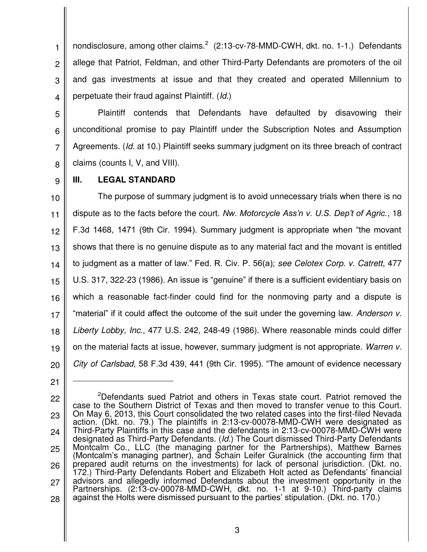1 2 3 4 nondisclosure, among other claims. $2(2:13$ -cv-78-MMD-CWH, dkt. no. 1-1.) Defendants allege that Patriot, Feldman, and other Third-Party Defendants are promoters of the oil and gas investments at issue and that they created and operated Millennium to perpetuate their fraud against Plaintiff. (*Id.*)

5

6

7

8

Plaintiff contends that Defendants have defaulted by disavowing their unconditional promise to pay Plaintiff under the Subscription Notes and Assumption Agreements. (*Id.* at 10.) Plaintiff seeks summary judgment on its three breach of contract claims (counts I, V, and VIII).

9

## **III. LEGAL STANDARD**

10 11 12 13 14 15 16 17 18 19 20 The purpose of summary judgment is to avoid unnecessary trials when there is no dispute as to the facts before the court. *Nw. Motorcycle Ass'n v. U.S. Dep't of Agric.*, 18 F.3d 1468, 1471 (9th Cir. 1994). Summary judgment is appropriate when "the movant shows that there is no genuine dispute as to any material fact and the movant is entitled to judgment as a matter of law." Fed. R. Civ. P. 56(a); *see Celotex Corp. v. Catrett*, 477 U.S. 317, 322-23 (1986). An issue is "genuine" if there is a sufficient evidentiary basis on which a reasonable fact-finder could find for the nonmoving party and a dispute is "material" if it could affect the outcome of the suit under the governing law. *Anderson v. Liberty Lobby, Inc.*, 477 U.S. 242, 248-49 (1986). Where reasonable minds could differ on the material facts at issue, however, summary judgment is not appropriate. *Warren v. City of Carlsbad*, 58 F.3d 439, 441 (9th Cir. 1995). "The amount of evidence necessary

21

 $\overline{a}$ 

<sup>22</sup> 23 24 25 26 27 28 <sup>2</sup>Defendants sued Patriot and others in Texas state court. Patriot removed the case to the Southern District of Texas and then moved to transfer venue to this Court. On May 6, 2013, this Court consolidated the two related cases into the first-filed Nevada action. (Dkt. no. 79.) The plaintiffs in 2:13-cv-00078-MMD-CWH were designated as Third-Party Plaintiffs in this case and the defendants in 2:13-cv-00078-MMD-CWH were designated as Third-Party Defendants. (*Id.*) The Court dismissed Third-Party Defendants Montcalm Co., LLC (the managing partner for the Partnerships), Matthew Barnes (Montcalm's managing partner), and Schain Leifer Guralnick (the accounting firm that prepared audit returns on the investments) for lack of personal jurisdiction. (Dkt. no. 172.) Third-Party Defendants Robert and Elizabeth Holt acted as Defendants' financial advisors and allegedly informed Defendants about the investment opportunity in the Partnerships. (2:13-cv-00078-MMD-CWH, dkt. no. 1-1 at 9-10.) Third-party claims against the Holts were dismissed pursuant to the parties' stipulation. (Dkt. no. 170.)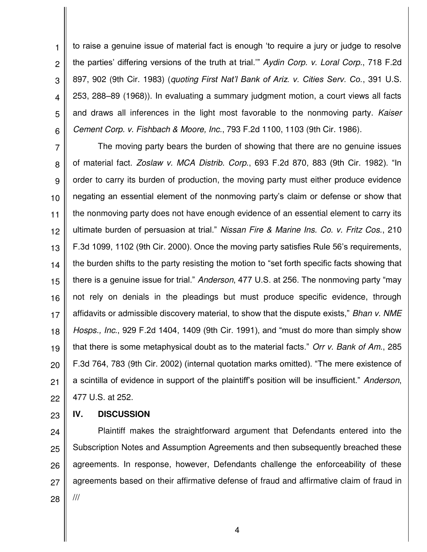1 2 3 4 5 6 to raise a genuine issue of material fact is enough 'to require a jury or judge to resolve the parties' differing versions of the truth at trial.'" *Aydin Corp. v. Loral Corp.*, 718 F.2d 897, 902 (9th Cir. 1983) (*quoting First Nat'l Bank of Ariz. v. Cities Serv. Co.*, 391 U.S. 253, 288–89 (1968)). In evaluating a summary judgment motion, a court views all facts and draws all inferences in the light most favorable to the nonmoving party. *Kaiser Cement Corp. v. Fishbach & Moore, Inc.*, 793 F.2d 1100, 1103 (9th Cir. 1986).

7 8 9 10 11 12 13 14 15 16 17 18 19 20 21 The moving party bears the burden of showing that there are no genuine issues of material fact. *Zoslaw v. MCA Distrib. Corp.*, 693 F.2d 870, 883 (9th Cir. 1982). "In order to carry its burden of production, the moving party must either produce evidence negating an essential element of the nonmoving party's claim or defense or show that the nonmoving party does not have enough evidence of an essential element to carry its ultimate burden of persuasion at trial." *Nissan Fire & Marine Ins. Co. v. Fritz Cos.*, 210 F.3d 1099, 1102 (9th Cir. 2000). Once the moving party satisfies Rule 56's requirements, the burden shifts to the party resisting the motion to "set forth specific facts showing that there is a genuine issue for trial." *Anderson*, 477 U.S. at 256. The nonmoving party "may not rely on denials in the pleadings but must produce specific evidence, through affidavits or admissible discovery material, to show that the dispute exists," *Bhan v. NME Hosps., Inc.*, 929 F.2d 1404, 1409 (9th Cir. 1991), and "must do more than simply show that there is some metaphysical doubt as to the material facts." *Orr v. Bank of Am.*, 285 F.3d 764, 783 (9th Cir. 2002) (internal quotation marks omitted). "The mere existence of a scintilla of evidence in support of the plaintiff's position will be insufficient." *Anderson*, 477 U.S. at 252.

22

23

## **IV. DISCUSSION**

24 25 26 27 28 Plaintiff makes the straightforward argument that Defendants entered into the Subscription Notes and Assumption Agreements and then subsequently breached these agreements. In response, however, Defendants challenge the enforceability of these agreements based on their affirmative defense of fraud and affirmative claim of fraud in ///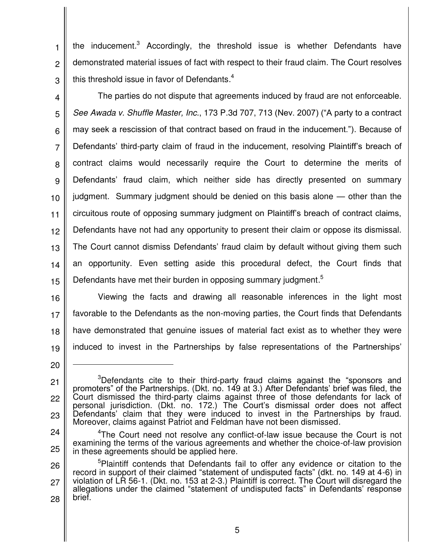2 the inducement.<sup>3</sup> Accordingly, the threshold issue is whether Defendants have demonstrated material issues of fact with respect to their fraud claim. The Court resolves this threshold issue in favor of Defendants. $4$ 

3

1

4 5 6 7 8 9 10 11 12 13 14 15 The parties do not dispute that agreements induced by fraud are not enforceable. *See Awada v. Shuffle Master, Inc.*, 173 P.3d 707, 713 (Nev. 2007) ("A party to a contract may seek a rescission of that contract based on fraud in the inducement."). Because of Defendants' third-party claim of fraud in the inducement, resolving Plaintiff's breach of contract claims would necessarily require the Court to determine the merits of Defendants' fraud claim, which neither side has directly presented on summary judgment. Summary judgment should be denied on this basis alone — other than the circuitous route of opposing summary judgment on Plaintiff's breach of contract claims, Defendants have not had any opportunity to present their claim or oppose its dismissal. The Court cannot dismiss Defendants' fraud claim by default without giving them such an opportunity. Even setting aside this procedural defect, the Court finds that Defendants have met their burden in opposing summary judgment.<sup>5</sup>

16

17 18 19 Viewing the facts and drawing all reasonable inferences in the light most favorable to the Defendants as the non-moving parties, the Court finds that Defendants have demonstrated that genuine issues of material fact exist as to whether they were induced to invest in the Partnerships by false representations of the Partnerships'

 $\overline{a}$ 

<sup>20</sup>

<sup>21</sup> 22 23 <sup>3</sup>Defendants cite to their third-party fraud claims against the "sponsors and promoters" of the Partnerships. (Dkt. no. 149 at 3.) After Defendants' brief was filed, the Court dismissed the third-party claims against three of those defendants for lack of personal jurisdiction. (Dkt. no. 172.) The Court's dismissal order does not affect Defendants' claim that they were induced to invest in the Partnerships by fraud. Moreover, claims against Patriot and Feldman have not been dismissed.

<sup>24</sup> 25 <sup>4</sup>The Court need not resolve any conflict-of-law issue because the Court is not examining the terms of the various agreements and whether the choice-of-law provision in these agreements should be applied here.

<sup>26</sup> 27 28 <sup>5</sup>Plaintiff contends that Defendants fail to offer any evidence or citation to the record in support of their claimed "statement of undisputed facts" (dkt. no. 149 at 4-6) in violation of LR 56-1. (Dkt. no. 153 at 2-3.) Plaintiff is correct. The Court will disregard the allegations under the claimed "statement of undisputed facts" in Defendants' response brief.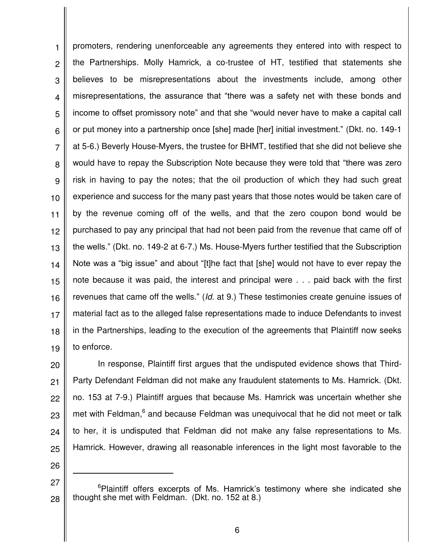1 2 3 4 5 6 7 8 9 10 11 12 13 14 15 16 17 18 19 promoters, rendering unenforceable any agreements they entered into with respect to the Partnerships. Molly Hamrick, a co-trustee of HT, testified that statements she believes to be misrepresentations about the investments include, among other misrepresentations, the assurance that "there was a safety net with these bonds and income to offset promissory note" and that she "would never have to make a capital call or put money into a partnership once [she] made [her] initial investment." (Dkt. no. 149-1 at 5-6.) Beverly House-Myers, the trustee for BHMT, testified that she did not believe she would have to repay the Subscription Note because they were told that "there was zero risk in having to pay the notes; that the oil production of which they had such great experience and success for the many past years that those notes would be taken care of by the revenue coming off of the wells, and that the zero coupon bond would be purchased to pay any principal that had not been paid from the revenue that came off of the wells." (Dkt. no. 149-2 at 6-7.) Ms. House-Myers further testified that the Subscription Note was a "big issue" and about "[t]he fact that [she] would not have to ever repay the note because it was paid, the interest and principal were . . . paid back with the first revenues that came off the wells." (*Id.* at 9.) These testimonies create genuine issues of material fact as to the alleged false representations made to induce Defendants to invest in the Partnerships, leading to the execution of the agreements that Plaintiff now seeks to enforce.

20 21 22 23 24 25 In response, Plaintiff first argues that the undisputed evidence shows that Third-Party Defendant Feldman did not make any fraudulent statements to Ms. Hamrick. (Dkt. no. 153 at 7-9.) Plaintiff argues that because Ms. Hamrick was uncertain whether she met with Feldman,<sup>6</sup> and because Feldman was unequivocal that he did not meet or talk to her, it is undisputed that Feldman did not make any false representations to Ms. Hamrick. However, drawing all reasonable inferences in the light most favorable to the

26

 $\overline{a}$ 

27

<sup>&</sup>lt;sup>o</sup>Plaintiff offers excerpts of Ms. Hamrick's testimony where she indicated she thought she met with Feldman. (Dkt. no. 152 at 8.)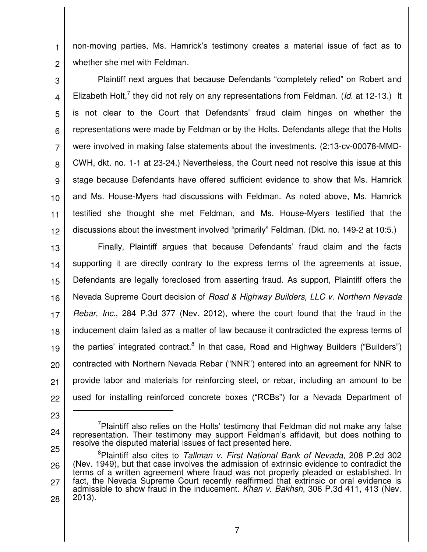1 2 non-moving parties, Ms. Hamrick's testimony creates a material issue of fact as to whether she met with Feldman.

3 4 5 6 7 8 9 10 11 12 Plaintiff next argues that because Defendants "completely relied" on Robert and Elizabeth Holt,<sup>7</sup> they did not rely on any representations from Feldman. (*Id.* at 12-13.) It is not clear to the Court that Defendants' fraud claim hinges on whether the representations were made by Feldman or by the Holts. Defendants allege that the Holts were involved in making false statements about the investments. (2:13-cv-00078-MMD-CWH, dkt. no. 1-1 at 23-24.) Nevertheless, the Court need not resolve this issue at this stage because Defendants have offered sufficient evidence to show that Ms. Hamrick and Ms. House-Myers had discussions with Feldman. As noted above, Ms. Hamrick testified she thought she met Feldman, and Ms. House-Myers testified that the discussions about the investment involved "primarily" Feldman. (Dkt. no. 149-2 at 10:5.)

13 14 15 16 17 18 19 20 21 22 Finally, Plaintiff argues that because Defendants' fraud claim and the facts supporting it are directly contrary to the express terms of the agreements at issue, Defendants are legally foreclosed from asserting fraud. As support, Plaintiff offers the Nevada Supreme Court decision of *Road & Highway Builders, LLC v. Northern Nevada Rebar, Inc.*, 284 P.3d 377 (Nev. 2012), where the court found that the fraud in the inducement claim failed as a matter of law because it contradicted the express terms of the parties' integrated contract.<sup>8</sup> In that case, Road and Highway Builders ("Builders") contracted with Northern Nevada Rebar ("NNR") entered into an agreement for NNR to provide labor and materials for reinforcing steel, or rebar, including an amount to be used for installing reinforced concrete boxes ("RCBs") for a Nevada Department of

23

 $\overline{a}$ 

 $\alpha$ Plaintiff also relies on the Holts' testimony that Feldman did not make any false representation. Their testimony may support Feldman's affidavit, but does nothing to resolve the disputed material issues of fact presented here.

<sup>25</sup> 26 27 28 <sup>8</sup>Plaintiff also cites to *Tallman v. First National Bank of Nevada*, 208 P.2d 302 (Nev. 1949), but that case involves the admission of extrinsic evidence to contradict the terms of a written agreement where fraud was not properly pleaded or established. In fact, the Nevada Supreme Court recently reaffirmed that extrinsic or oral evidence is admissible to show fraud in the inducement. *Khan v. Bakhsh*, 306 P.3d 411, 413 (Nev. 2013).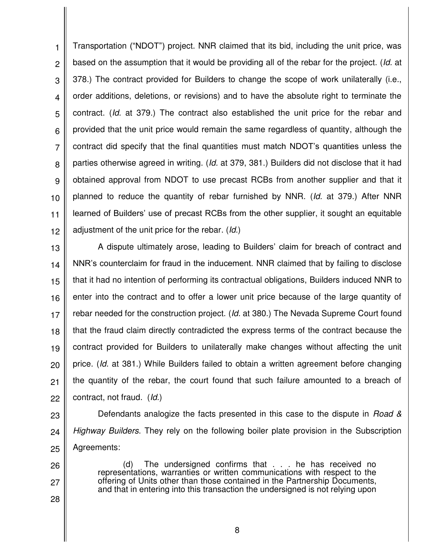1 2 3 4 5 6 7 8 9 10 11 12 Transportation ("NDOT") project. NNR claimed that its bid, including the unit price, was based on the assumption that it would be providing all of the rebar for the project. (*Id.* at 378.) The contract provided for Builders to change the scope of work unilaterally (i.e., order additions, deletions, or revisions) and to have the absolute right to terminate the contract. (*Id.* at 379.) The contract also established the unit price for the rebar and provided that the unit price would remain the same regardless of quantity, although the contract did specify that the final quantities must match NDOT's quantities unless the parties otherwise agreed in writing. (*Id.* at 379, 381.) Builders did not disclose that it had obtained approval from NDOT to use precast RCBs from another supplier and that it planned to reduce the quantity of rebar furnished by NNR. (*Id.* at 379.) After NNR learned of Builders' use of precast RCBs from the other supplier, it sought an equitable adjustment of the unit price for the rebar. (*Id.*)

13 14 15 16 17 18 19 20 21 22 A dispute ultimately arose, leading to Builders' claim for breach of contract and NNR's counterclaim for fraud in the inducement. NNR claimed that by failing to disclose that it had no intention of performing its contractual obligations, Builders induced NNR to enter into the contract and to offer a lower unit price because of the large quantity of rebar needed for the construction project. (*Id.* at 380.) The Nevada Supreme Court found that the fraud claim directly contradicted the express terms of the contract because the contract provided for Builders to unilaterally make changes without affecting the unit price. (*Id.* at 381.) While Builders failed to obtain a written agreement before changing the quantity of the rebar, the court found that such failure amounted to a breach of contract, not fraud. (*Id.*)

23 24 25 Defendants analogize the facts presented in this case to the dispute in *Road & Highway Builders*. They rely on the following boiler plate provision in the Subscription Agreements:

26

27

28

(d) The undersigned confirms that . . . he has received no representations, warranties or written communications with respect to the offering of Units other than those contained in the Partnership Documents, and that in entering into this transaction the undersigned is not relying upon